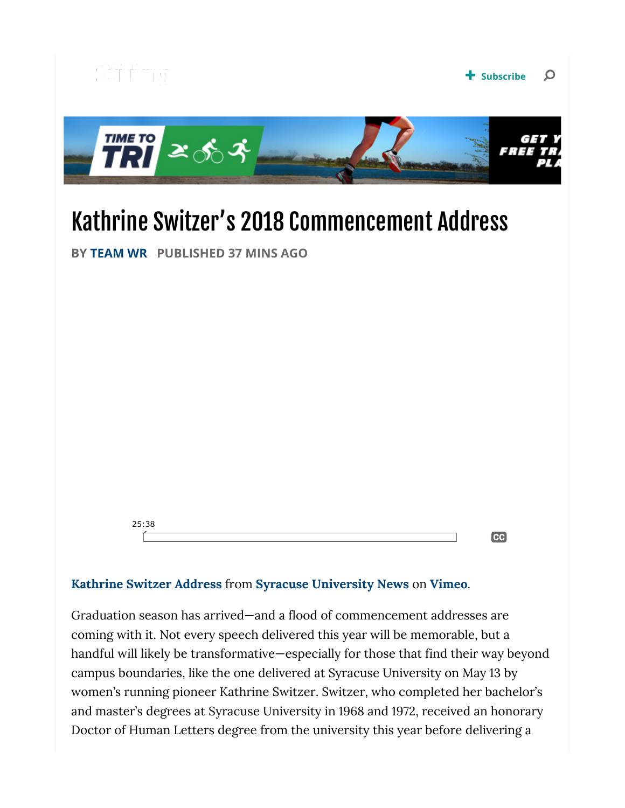

## Kathrine Switzer Address from Syracuse University News on Vimeo.

Graduation season has arrived—and a flood of commencement addresses are coming with it. Not every speech delivered this year will be memorable, but a handful will likely be transformative—especially for those that find their way beyond campus boundaries, like the one delivered at Syracuse University on May 13 by women's running pioneer Kathrine Switzer. Switzer, who completed her bachelor's and master's degrees at Syracuse University in 1968 and 1972, received an honorary Doctor of Human Letters degree from the university this year before delivering a